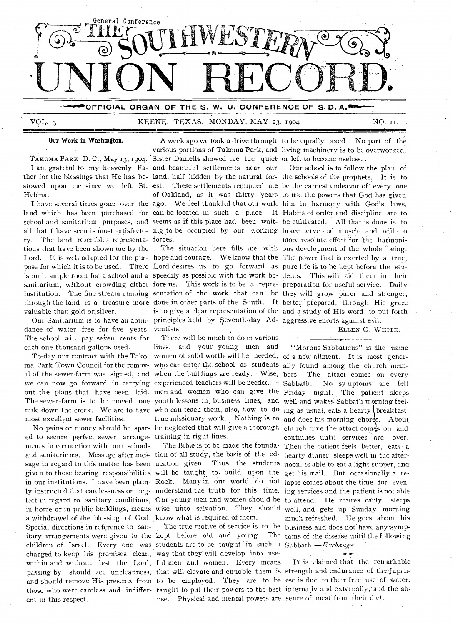

VOL. 3 KEENE, TEXAS, MONDAY, MAY 23, 1904 NO. 21.

### Our Work in Washington.

Helena.

land which has been purchased for can be located in such a place. It Habits of order and discipline are to ry. The land resembles representa-forces. tions that have been shown me by the valuable than gold or silver.

dance of water free for five years. venti-The school will pay seven cents for each one thousand gallons used.

most excellent sewer facilities.

ed to secure perfect sewer arrange-training in right lines. ments in connection with our schools and sanitariums. Message after mes- tion of all study, the basis of the edgiven to those bearing responsibilities will be taught to. build upon the a withdrawel of the blessing of God. know what is required of them. Special directions in reference to sanchildren of Israel. Every one was students are to be taught in such a Sabbath.—Exchange. charged to keep his premises clean, way that they will develop into use-• those who were careless and indiffer-taught to put their powers to the best internally and externally, and the abent in this respect.

TAKOMA PARK, D. C., May 13, 1904. Sister Daniells showed me the quiet or left to become useless. I am grateful to my heavenly Fa- and beautiful settlements near our Our school is to follow the plan of

pose for which it is to be used. There Lord desires us to go forward as pure life is to be kept before the stu-Our Sanitarium is to have an abun-principles held by Seventh-day Ad-aggressive efforts against evil.

To-day our contract with the Tako-women of solid worth will be needed, of a new ailment. It is most generma Park Town Council for the remov-who can enter the school as students ally found among the church mem-The sewer-farm is to be moved one youth lessons in business lines, and well and wakes Sabbath morning feel-There will be much to do in various lines, and your young men and

within and without, lest the Lord, ful men and women. Every means passing by, should see uncleanness, that will elevate and ennoble them is strength and endurance of the Japanand should remove His presence from to be employed. They are to be ese is due to their free use of water, use. Physical and mental powers are sence- of meat from their diet.

A week ago we took a drive through to be equally taxed. No part of the various portions of Takoma Park, and living machinery is to be overworked,

4111MTMIIIIIMINIMIE111!11101101O t

ther for the blessings that He has be-land, half hidden by the natural for-the schools of the prophets. It is to stowed upon me since we left St. est. These settlements reminded me be the earnest endeavor of' every one I have several times gone over the ago. We feel thankful that our work him in harmony with God's laws. school and sanitarium purposes, and seems as if this place had been wait-be cultivated. All that is done is to all that I have seen is most satisfacto- ing to be occupied by our working brace nerve and muscle and will to Lord. It is well adapted for the pur-hope and courage. We know that the The power that is exerted by a true, is on it ample room for a school and a speedily as possible with the work be-dents. This will aid them in their sanitarium, without crowding either fore ns. This work is to be a repre- preparation for useful service. Daily institution. The fine stream running sentation of the work that can be they will grow purer and stronger, through the land is a treasure more done in other parts of the South. It better prepared, through His grace of Oakland, as it was thirty years to use the powers that God has given The situation here fills me with ous development of the whole being. is to give a clear representation of the and a study of His word, to put forth more resolute effort for the harmoni-

ELLEN G. WHITE.

al of the sewer-farm was signed, and when the buildings are ready. Wise, bers. The attact comes' on every we can now go forward in carrying experienced teachers will be needed,— Sabbath. No symptoms are • felt out the plans that have been laid. men and women who can give the Friday night. The patient sleeps mile down the creek. We are to have who can teach them, also, how to do ing as usual, eats a hearty (breakfast, No pains or money should be spar- be neglected that will give a thorough church time the attact comes on and sage in regard to this matter has been ucation given. Thus the students noon, is able to eat a light supper, and in our institutions. I have been plain- Rock. Many in our world do not lapse comes about the time for evenly instructed that carelessness or neg- understand the truth for this time. ing services and the patient is not able Lict in regard to sanitary conditions, Our young men and women should be to attend. He retires early, sleeps in home or in public buildings, means wise unto salvation. They should well, and gets up Sunday morning itary arrangements were given to the kept before old and young. The toms of the disease until the following true missionary work. Nothing is to and does his morning chores. About The Bible is to be made the founda-Then the patient feels better, eats a The true motive of service is to be business and does not have any 'symp-"Morbus Sabbaticus" is the name continues until services are over. hearty dinner, sleeps well in the afterget his mail. But occasionally a remuch refreshed. He goes about his

IT is Claimed that the remarkable

*. .,*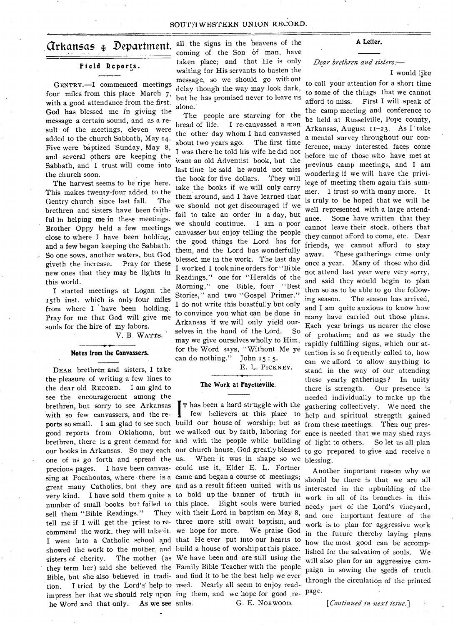# arkattsas .1, Department.

# **Field Reports.**

GENTRY.—I commenced meetings four miles from this place March 7, with a good attendance from the first. God has blessed me in giving the message a certain sound, and as a result of the meetings, eleven were added to the church Sabbath, May 14. Five were baptized Sunday, May 8, and several others are keeping the Sabbath, and I trust will come into the church soon.

The harvest seems to be ripe here. This makes twenty-four added to the Gentry church since last fall. The brethren and sisters have been faithful in helping me in these meetings. Brother Oppy held a few meetings close to where I have been holding, and a few began keeping the Sabbath. So one sows, another waters, but God giveth the increase. Pray for these new ones that they may be lights in this world.

I started meetings at Logan the 15th inst. which is only four miles from where **I** have been holding. Pray for me that God will give me souls for the hire of my labors.

V. B. WATTS.

#### **Notes from the Canvassers.**

DEAR brethren and sisters, I take the pleasure of writing a few lines to the dear old RECORD. I am glad to see the encouragement among the brethren, but sorry to see Arkansas with so few canvassers, and the reports so small. I am glad to see such good reports from Oklahoma, but we walked out by faith, laboring for brethren, there is a great demand for and with the people while building our books in Arkansas. So may each our church house, God greatly blessed one of us go forth and spread the precious pages. I have been canvas-could use it, Elder E. L. Fortner sing at Pocahontas, where there is a came and began a course of meetings; great many Catholics, but they are and as a result fifteen united with us very kind. I have sold them quite a to hold up the banner of truth in number of small books but failed to this place. Eight souls were buried sell them "Bible Readings." tell me if **I** will get the priest to re-three more still await baptism, and commend the work, they will take'it. we hope for more. We praise God I went into a Catholic school and that He ever put into our hearts to showed the work to the mother, and build a house of worship at this place. sisters of cherity. The mother (as We have been and are still using the they term her) said she believed the Family Bible Teacher with the people Bible, but she also believed in tradi-and find it to be the best help we ever tion. I tried by the Lord's help to used. Nearly all seem to enjoy readimpress her that we should rely upon ing them, and we hope for good re- page. he Word and that only. As we **see** 

all the signs in the heavens of the coming of the Son of man, have taken place; and that He is only waiting for His servants to hasten the message, so we should go without delay though the way may look dark, but he has promised never to leave us alone.

The people are starving for the bread of life. **I** re-canvassed a man the other day whom I had canvassed about two years ago. The first time I was there-he told his wife he did not want an old Adventist book, but the last time he said he would not miss the book for five dollars. They will take the books if we will only carry them around, and I have learned that we should not get discouraged if we fail to take an order in a day, but we should continue. I am a poor canvasser but enjoy telling the people the good things the Lord has for them, and the Lord has wonderfully blessed me in the work. The last day I worked I took nine orders for "Bible Readings," one for "Heralds of the Morning," one Bible, four "Best Stories," and two "Gospel Primer." I do not write this boastfully but only to convince you what can be done in Arkansas if we will only yield ourselves in the hand of the Lord. So may we give ourselves wholly to Him, for the Word says, "Without Me ye can do nothing." John 15 : 5.

E. L. PICKNEY.

### **The Work at Fayetteville.**

I Thas been a hard struggle with the few believers at this place to build our house of worship; but as When it was in shape so we They with their Lord in baptism on May 8, G. E. NORWOOD.

**A Letter.** 

## *Dear brethren and sisters:—*

#### *I* would like

to call your attention for a short time to some of the things that we cannot afford to miss. First I will speak of the camp meeting and conference to be held at Russelville, Pope county, Arkansas, August 11-23. As I' take a mental survey throughout our conference, many interested faces come before me of those who have met at previous camp meetings, and I am wondering if we will have the privilege of meeting them again this summer. I trust so with many more. **It**  is truly to be hoped that we will be well represented with a large attendance. Some have written that they cannot leave their stock, others that they cannot afford to come, etc. Dear friends, we cannot afford to stay away. These gatherings come only once a year. Many of those who did not attend last year were very sorry, and said they would begin to plan then so as to be able to go the following season. The season has arrived, and I am quite anxious to know how many have carried out those plans. Each year brings us nearer the close of probation; and as we study the rapidly fulfilling signs, which our attention is so frequently called to, how can we afford to allow anything to stand in the way of our attending these yearly gatherings ? In unity there is strength. Our presence is needed individually to make up the gathering collectively. We need the help and spiritual strength gained from these meetings. Then our presence is needed that we may shed rays of light to others. So let us all plan to go prepared to give and receive a blessing.

Another important reason why we should be there is that we are all interested in the upbuilding of the work in all of its branches in this needy part of the Lord's vineyard, and one important feature of the work is to plan for aggressive work in the future thereby laying plans how the most good can be accomplished for the salvation of souls. We will also plan for an aggressive campaign in sowing the seeds of truth through the circulation of the printed

*[Continued in next issue.]*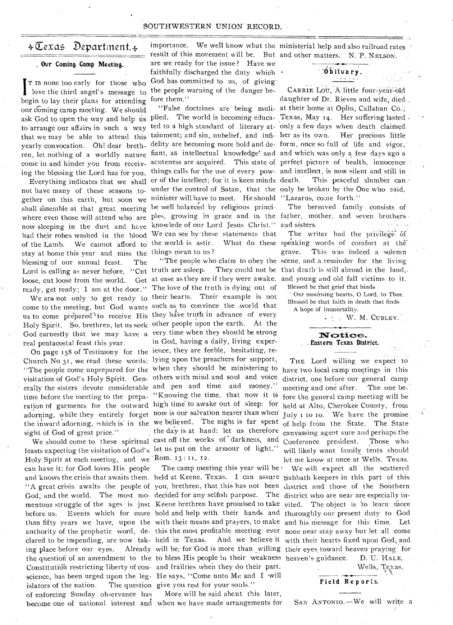### SOUTHWESTERN UNION RECORD.

# +Texas Department. $\ast$

#### Ovr Coming Camp Meeting.

I T IS none too early for those who love the third angel's message to begin to lay their plans for attending T is none too early for those who love the third angel's message to our coming camp meeting. We should to arrange our affairs in such a way that we may be able to attend this yearly convocation. Oh! dear brethren, let nothing of a worldly nature come in.and hinder you from receiv-• ing the blessing the Lord has for you.

gether on this earth, but soon we minister will have to meet. He should "Lazarus, come forth." now sleeping in the dust and have knowlede of our Lord Jesus Christ." and sisters. Everything indicates that we shall not have many of these seasons toshall assemble at that great, meeting be well balanced by religious princihad their robes washed in the blood We can see by these statements that of the Lamb. We cannot afford to the world is astir. What do these stay at home this year and miss the things mean to us ? blessing of our annual feast. The Lord is calling as never before, "Cut truth are asleep. They could not be loose, cut loose from the world. ready, get ready; I am at the door."

come to the meeting, but God wants such as to convince the world that real peritacostal feast this year.

Church No 31, we read these words: lying upon the preachers for support, "The people come unprepared for the when they should be ministering to visitation of God's Holy Spirit. Gen- others with mind and soul and voice ' erally the sisters devote considerable and pen and time and money." sight of God of great price."

"A great crisis awaits the people of you, brethren, that this has not been district and those of the Southern God, and the world. The most mo- decided for any selfish purpose. The district who are near are especially inthe question of an amendment to the to bless His people in their weakness heaven's guidance. D. U. HALE, feasts expecting the visitation of God's let us put on the armour of light." Holy Spirit at each meeting, and we 'Rom. 13 : II, 12. can have it; for God loves His people clared to be impending, are now tak- held in Texas. Constitution restricting liberty of con- and frailties when they do their part. science, has been urged upon the leg-He says, "Come unto Me and I -will islators of the nation. of enforcing Sunday observance has

result of this movement will be. But and other matters. N. P. NELSON. are we ready for the issue? Have we faithfully discharged the duty which . God has committed to us, of giving the people warning of the danger beore them." f

tainment; and sin, unbelief, and infi- her as its own. Her precious little fiant, as intellectual knowledge' and and which was only a few days ago aunder the control of Satan, that the only be broken by the One who said, where even those will attend who are ples, growing in grace and in the father, mother, and seven brothers · er of the intellect; for it is keen minds

We are not only to get ready to their hearts. Their example is not us to come prepared<sup>'1</sup> to receive His they have truth in advance of every Holy Spirit. So, brethren, let us seek other people upon the earth. At the God earnestly that we may have a very time when they should be strong On page 158 of Testimony for the ience, they are feeble, hesitating, retime before the meeting to the prepa-"Knowing the time, that now it is ration of garments for the outward high time' to awake out of sleep: for adorning, while they entirely forget now is our salvation nearer than when' the inward adorning, which is in the we believed. The night is far spent We should come to these spiritual cast off the works of darkness, and The love of the truth is dying out of in God, having a daily, living experthe day is at hand: let us therefore

> The camp meeting this year will be ' The question give you rest for your souls."

become one of national interest and when we have made arrangements for More will be said about this later,

importance. We well know what the ministerial help and also railroad rates '

# Ob~itvary.

CARRIE LOU, A little four-year-old daughter of Dr. Rieves and wife, died "False doctrines are being muli- at their home at Oplin, Callahan Co.; ask God to open the way and help us plied. The world is becoming educa- Texas, May 14. Her suffering lasted ted to a high standard of literary at- only a few days when death claimed delity are becoming more bold and de- form, once so full of life and vigor, acuteness are acquired. This state of perfect picture of health, innocence things calls for the use of every pow- and intellect, is now silent and still in This peaceful slumber can

The bereaved family consists of

The writer had the privilege of What do these speaking words of comfort at the grave. This was indeed a solemn "The people who claim to obey the scene, and a reminder for the living They could not be that death is still abroad in the land,at ease as they are if they were awake. and young and old fall victims to it. Blessed be that grief that hinds

Our mourning hearts, O Lord, to Thee, Blessed be that faith in death that finds A hope of immortality.

 $\cdot$   $\cdot$   $\cdot$  W. M. CUBLEY.

# Notice. Eastern Texas District.

THE Lord willing we expect to have two local camp meetings in this district, one before our general camp meeting and one after. The one before the general camp meeting will be held at Alto, Cherokee County, from July  $\mu$  to  $\mu$ . We have the promise of help from the State. The State canvassing agent sure and perhaps the Conference president. Those who will likely want family tents should let me know at once at Wells, Texas.

We will expect all the scattered and knows the crisis that awaits them. held at Keene, Texas. I can assure Sabbath keepers in this part of this. mentous struggle of the ages is just Keene brethren have promised to take vited. The object is 'to learn more before us. Events which for more hold and help with their hands and thoroughly our present duty to God than fifty years we have, upon the with their means and prayers, to make and his message for this time. Let authority of the prophetic word, de- this the most profitable meeting ever none near stay away but let all come held in Texas. And we believe it with their hearts fixed upon God, and ing place before our eyes. Already will be; for God is more than willing their eyes toward heaven praying for

Wells, Texas.

#### Field Reports.

SAN ANTONIO.—We will write a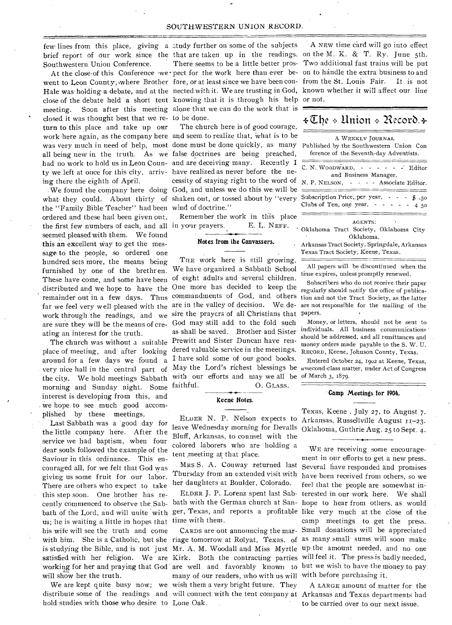Southwestern Union Conference.

closed it was thought best that we re- to be done. ty we left at once for this city, arriv- have realized as never before the neturn **to** this place and take up our ing there the eighth of April.

the "Family Bible Teacher" had been wind of doctrine." the first few numbers of each, and all in your prayers. E. L. NEFF. ordered and these had been given out, seemed pleased with them. We found this an excellent Way to get the message to the people, so ordered one hundred sets more, the means being furnished by one of the brethren. These have come, and some have been distributed and we hope to have the ating an interest for the truth.

around for a few days we found a morning and Sunday night. Some interest is developing from this, and we hope to see much good accomplished- by these meetings,

Last Sabbath was a good day for the little company here. After the service we had baptism, when four dear souls followed the example of the Saviour in this ordinance. This encouraged all, for we felt that God was giving us some fruit for our labor. There are others who expect to take this step soon. One brother has recently commenced to observe the. Sabbath of the Lord, and will unite with us; he is waiting a little in hopes that his wife will see the truth and come will show her the truth.

hold studies with those who desire to Lone Oak.

few lines from this place, giving a study further on some of the subjects close of the debate held a short tent knowing that it is through his help or not. meeting. Soon after this meeting alone that we can do the work that is

The church here is of good courage, work here again, as the company here and seem to realize that, what is to be was very much in need of help, most done must be done quickly, as many all being new in the truth. As we false doctrines are being preached, had no work to hold us in Leon Coun- and are deceiving many. Recently I cessity of staying right to the word of We found the company here doing God, and unless we do this we will be what they could. About thirty of shaken out, or tossed about by "every

Remember the work in this place

#### **Notes from the** *Canvassers.*

THE work here is still growing. We have organized a Sabbath School of eight adults and several children. One more has decided to keep the work through the readings, and we sire the prayers of all Christians that papers. are sure they will be the means of cre- God may still add to the fold such as shall be saved. Brother and Sister The church was without a suitable Prewitt and Sister Duncan have renplace of meeting, and after looking dered valuable service in the meetings. I have sold some of our good books. with our efforts and may we all be faithful. 0. GLASS. the city. We hold meetings Sabbath with our efforts and may we all be of March 3, 1879.

### **Keene Notes.**

ELDER N. P. Nelson expects to Arkansas, Russellville August leave Wednesday morning for Devalls Bluff, Arkansas, to counsel with the colored laborers who are holding a tent meeting at that place.

MRs S. A. Conway returned last Thursday from an extended visit with her daughters at Boulder, Colorado.

time with them.

many of our readers, who with us will with before purchasing it. We are kept quite busy now; we wish them a very bright-future. They distribute some of the readings and will connect with the tent company at Arkansas and Texas departments had

brief report of our work since the that are taken up in the readings. on the M. K. & T. Ry. June 5th. There seems to be a little better pros-Two additional fast trains will be put went to Leon County; where Brother fore, or at least since we have been con- from the St. Louis Fair. It is not Hale was holding a debate, and at the nected with it. We are trusting in God, known whether it will affect our line A NEW time card will go into effect At the close of this Conference we • pect for the work here than ever be- on to handle the extra business to and

# $\{\pm\mathbb{C}\}$ he  $\pm$  Union  $\pm$  Record  $\pm$

| A WEEKLY JOURNAL<br>Published by the Southwestern Union Con<br>ference of the Seventh-day Adventists.        |
|--------------------------------------------------------------------------------------------------------------|
| $C. N. WooDWARD, - - - - - - - - Editor$<br>and Business Manager.<br>N. P. NELSON, - - - - Associate Editor. |
| Subscription Price, per year, - - - \$.50<br>Clubs of Ten, one year, $- - - - 450$                           |
| AGENTS:                                                                                                      |

Oklahoma Tract Society, Oklahoma City Oklahoma.

Arkansas Tract Society, Springdale, Arkansas Texas Tract Society, Keene, Texas.

All papers will be discontinued when the time expires, unless promptly renewed.

remainder out in a few days. Thus commandments of God, and others tion and not the Tract Society, as the latter far we feel very well pleased with the are in the valley of decision. We de- are not responsible for the mailing of the Subscribers who do not receive their paper regularly should notify the office of publica-

> Money, or letters, should not be sent to individuals. All business communications should be addressed, and all remittances and money orders made payable to the S. W. U. RECORD, Keene, Johnson County, Texas.

very nice hall in the central part of May the Lord's richest blessings be assecond-class matter, under Act of Congress Entered October 24, 1902 at Keene, Texas,

#### **Camp Meetings for 1904.**

Texas, Keene . July 27, to August 7. Oklahoma, Guthrie Aug. 25 to Sept. 4.

ELDER J. P. Lorenz spent last Sab-terested in our work here. We shall bath with the German church at San-hope to hear from others, as would ger, Texas, and reports a profitable like very much at the close of the CARDS are out announcing the mar-Small donations will be appreciated with him. She is a Catholic, but she riage tomorrow at Rolyat, Texas, of as many small sums will soon make is studying the Bible, and is not just Mr. A. M. Woodall and Miss Myrtle up the amount needed, and no one satisfied with her religion. We are Kirk. Both the contracting parties will feel it. The press is badly needed, working for her and praying that God are well and favorably known to but we wish to have the money to pay WE are receiving some encouragement in our efforts to get a new press. Several have responded and promises have been received from others, so we feel that the people are somewhat incamp meetings to get the press.

> A LARGE amount of matter for the **to** be carried over to our next issue.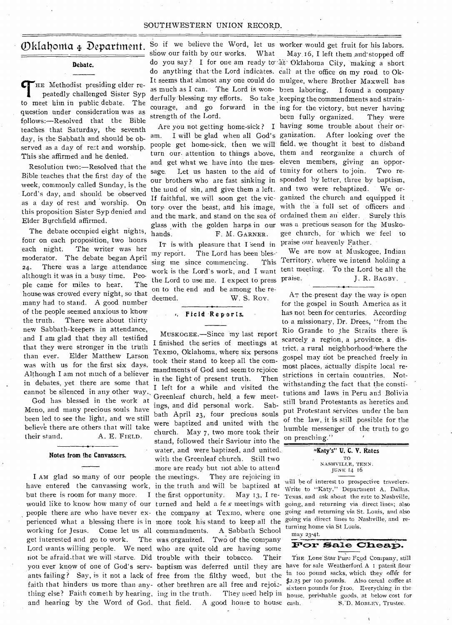### SOUTHWESTERN UNION RECORD.

# Oklahonia 4 Department.

# **Debate.**

THE Methodist presiding elder repeatedly challenged Sister Syptomeet him in public debate. The HE Methodist presiding elder repeatedly challenged Sister Syp question under consideration was as follows:—Resolved that the Bible teaches that Saturday, the seventh day, is the Sabbath and should be observed as a day of rest and worship. This she affirmed and he denied.

Resolution two:—Resolved that the Bible teaches that the first day of the week, commonly called Sunday, is the Lord's day, and should be observed as a day of rest and worship. On this proposition Sister Syp denied and Elder Burchfield affirmed.

The debate occupied eight nights, The debate occupied eight nights,  $h$ <sub>ands</sub> four on each proposition, two hours each night. The writer was her moderator. The debate began April 24. There was a large attendance although it was in a busy time. People came for miles to hear. The house was crowed every night, so that many had to stand. A good number of the people seemed anxious to know the truth. There were about thirty new Sabbath-keepers in attendance, and I am glad that they all testified that they were stronger in the truth than ever. Elder Matthew Larson was with us for the first six days. Although I am not much of a believer in debates, yet there are some that cannot be silenced in any other way.

God has blessed in the work at Meno, and many precious souls have been led to see the light, and we still believe there are others that will take their stand. A. E. FIELD.

## **Notes from the Canvassers.**

I AM glad so many of our people the meetings. have entered the canvassing work, in the truth and will be baptized at but there is room for many more. would like to know how many of our turned and held a few meetings with people there are who have never ex- the company at Texmo, where one going and returning via St. Louis, and also perienced what a blessing there is in more took his stand to keep all the working for Jesus. get interested and go to work. Lord wants willing people. We need who are quite old are having some thing else? Faith cometh by hearing, ing in the truth. and hearing by the Word of God. that field.

So if we believe the Word, let us worker would get fruit for his labors. show our faith by our works. What do anything that the Lord indicates. call at the office on my road to Okas much as I can. The Lord is wonderfully blessing my efforts. So take keeping the commendments and strainstrength of the Lord.

am. I will be glad when all God's ganization. After looking over the people get home-sick, then we will field, we thought it best to disband turn our. attention to things above, them and reorganize a church of and get what we have into the mes-eleven members, giving an 'opporsage. Let us hasten to the aid of tunity for others to join. Two reour brothers who are fast sinking in sponded by letter, three by baptism, the mud of sin, and give them a left. and two were rebaptized. We orglass with the golden harps in our was a precious season for the Musko-F. M. GARNER.

It is with pleasure that I send in praise our heavenly Father. my report. The Lord has been blessing me since commencing. This work is the Lord's work, and I want the Lord to use me. I expect to press praise. on to the end and be among the redeemed. W. S. Roy.

# **Field Reports.**

not be afraid.that we will starve. Did trouble with their tobacco. Their you ever know of one of God's serv- baptism was deferred until they are have for sale Weatherford A 1 patent flour ants failing? Say, is it not a lack of free from the filthy weed, but the in 100 pound sacks, which they offer for faith that hinders us more than any- other brethren are all free and rejoic-MUSKOGEE.—Since my last report I finished the series of meetings at Texmo, Oklahoma, where six persons took their stand to keep all the commandments of God and seem to rejoice in the light of present truth. Then I left for a while and visited the Greenleaf church, held, a few meetings, and did personal work. Sabbath April 23, four precious souls were baptized and united with the church. May 7, two more took their stand, followed their Saviour into the water, and were baptized, and united, with the Greenleaf church. Still two more are ready but not able to attend They are rejoicing in the first opportunity. May 13, **I** re-Come let us all commandments. A Sabbath School The was organized. Two of the company A good house to house cash.

do you say ? I for one am ready to-at-Oklahoma City, making a short It seems that almost any one could do mulgee, where Brother Maxwell has courage, and go forward in the ing for the victory, but never having Are you not getting home-sick ? having some trouble about their or-If faithful, we will soon get the vic-ganized the church and equipped it tory over the beast, and his image, with the a full set of officers and and the mark, and stand on the sea of ordained them an elder. Surely this May 16, I left them and stopped off I found a company been fully organized. They were gee church, for which we feel to

> We are now at Muskogee, Indian Territory, where we intend holding a tent meeting. To the Lord be all the J. R. BAGBY.

AT the present day the way is open for the gospel in South America as it has not been for centuries. According to a missionary, Dr. Drees, "from the Rio Grande to the Straits there is scarcely a region, a province, a district, a rural neighborhood<sup>-</sup>where the gospel may riot be preached freely in most places, actually dispite local restrictions in certain countries. Notwithstanding the fact that the constitutions and laws in Peru and Bolivia still brand Protestants as heretics and put Protestant services under the ban of the law, it is still possible for the humble messenger of the truth to go on preaching."

#### **"Katy's" U. C. V. Rates**  TO NASHVILLE, TENN. JUNE 14 16

will he of interest to prospective travelers. Write to "Katy," Department A, Dallas, Texas, and ask about the rate to Nashville, going, and returning via direct lines; also going via direct lines to Nashville, and returning home via St Louis.



THE Lone Star Pun: Fcod Company, still \$2.25 per ioo pounds. Also cereal coffee at sixteen pounds for  $f$ 100. Everything in the ing in the truth. They need help in  $h$  house, perishable goods, at below cost for S.'D. MOBLEY, Trustee.